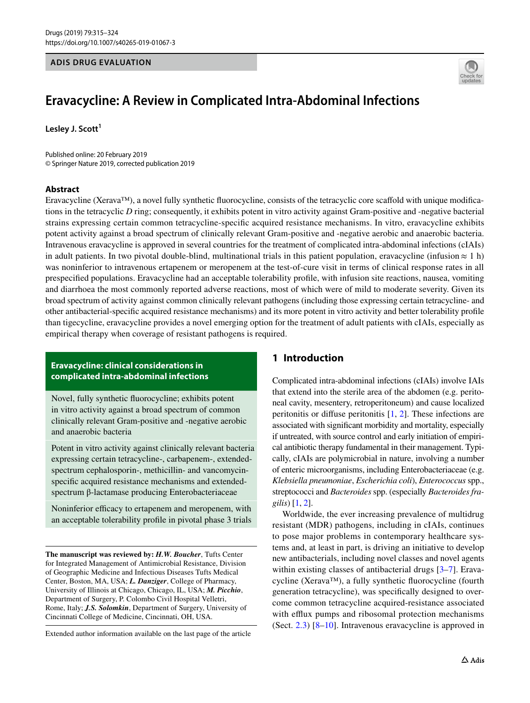#### **ADIS DRUG EVALUATION**



# **Eravacycline: A Review in Complicated Intra‑Abdominal Infections**

**Lesley J. Scott<sup>1</sup>**

Published online: 20 February 2019 © Springer Nature 2019, corrected publication 2019

#### **Abstract**

Eravacycline (Xerava™), a novel fully synthetic fuorocycline, consists of the tetracyclic core scafold with unique modifcations in the tetracyclic *D* ring; consequently, it exhibits potent in vitro activity against Gram-positive and -negative bacterial strains expressing certain common tetracycline-specifc acquired resistance mechanisms. In vitro, eravacycline exhibits potent activity against a broad spectrum of clinically relevant Gram-positive and -negative aerobic and anaerobic bacteria. Intravenous eravacycline is approved in several countries for the treatment of complicated intra-abdominal infections (cIAIs) in adult patients. In two pivotal double-blind, multinational trials in this patient population, eravacycline (infusion  $\approx 1$  h) was noninferior to intravenous ertapenem or meropenem at the test-of-cure visit in terms of clinical response rates in all prespecifed populations. Eravacycline had an acceptable tolerability profle, with infusion site reactions, nausea, vomiting and diarrhoea the most commonly reported adverse reactions, most of which were of mild to moderate severity. Given its broad spectrum of activity against common clinically relevant pathogens (including those expressing certain tetracycline- and other antibacterial-specifc acquired resistance mechanisms) and its more potent in vitro activity and better tolerability profle than tigecycline, eravacycline provides a novel emerging option for the treatment of adult patients with cIAIs, especially as empirical therapy when coverage of resistant pathogens is required.

#### **Eravacycline: clinical considerations in complicated intra‑abdominal infections**

Novel, fully synthetic fuorocycline; exhibits potent in vitro activity against a broad spectrum of common clinically relevant Gram-positive and -negative aerobic and anaerobic bacteria

Potent in vitro activity against clinically relevant bacteria expressing certain tetracycline-, carbapenem-, extendedspectrum cephalosporin-, methicillin- and vancomycinspecifc acquired resistance mechanisms and extendedspectrum β-lactamase producing Enterobacteriaceae

Noninferior efficacy to ertapenem and meropenem, with an acceptable tolerability profle in pivotal phase 3 trials

**The manuscript was reviewed by:** *H.W. Boucher*, Tufts Center for Integrated Management of Antimicrobial Resistance, Division of Geographic Medicine and Infectious Diseases Tufts Medical Center, Boston, MA, USA; *L. Danziger*, College of Pharmacy, University of Illinois at Chicago, Chicago, IL, USA; *M. Picchio*, Department of Surgery, P. Colombo Civil Hospital Velletri, Rome, Italy; *J.S. Solomkin*, Department of Surgery, University of Cincinnati College of Medicine, Cincinnati, OH, USA.

Extended author information available on the last page of the article

## **1 Introduction**

Complicated intra-abdominal infections (cIAIs) involve IAIs that extend into the sterile area of the abdomen (e.g. peritoneal cavity, mesentery, retroperitoneum) and cause localized peritonitis or difuse peritonitis [[1,](#page-8-0) [2](#page-8-1)]. These infections are associated with signifcant morbidity and mortality, especially if untreated, with source control and early initiation of empirical antibiotic therapy fundamental in their management. Typically, cIAIs are polymicrobial in nature, involving a number of enteric microorganisms, including Enterobacteriaceae (e.g. *Klebsiella pneumoniae*, *Escherichia coli*), *Enterococcus* spp., streptococci and *Bacteroides* spp. (especially *Bacteroides fragilis*) [[1,](#page-8-0) [2](#page-8-1)].

Worldwide, the ever increasing prevalence of multidrug resistant (MDR) pathogens, including in cIAIs, continues to pose major problems in contemporary healthcare systems and, at least in part, is driving an initiative to develop new antibacterials, including novel classes and novel agents within existing classes of antibacterial drugs [[3](#page-8-2)[–7](#page-8-3)]. Eravacycline (Xerava™), a fully synthetic fuorocycline (fourth generation tetracycline), was specifcally designed to overcome common tetracycline acquired-resistance associated with efflux pumps and ribosomal protection mechanisms (Sect. [2.3](#page-2-0)) [[8–](#page-8-4)[10\]](#page-8-5). Intravenous eravacycline is approved in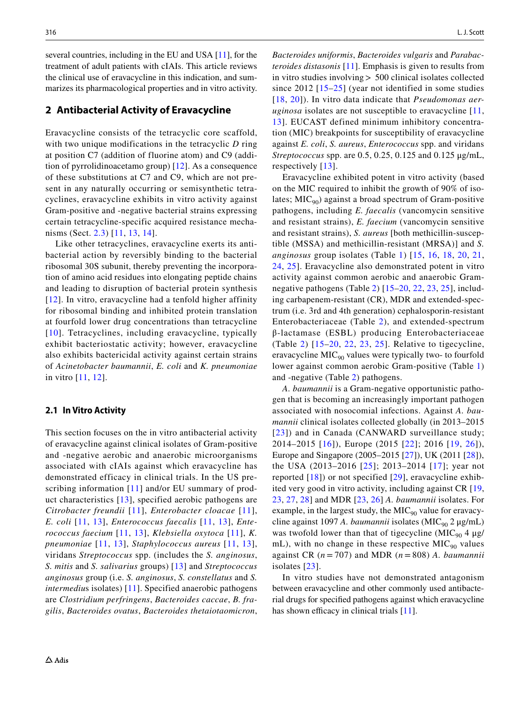several countries, including in the EU and USA [\[11](#page-8-6)], for the treatment of adult patients with cIAIs. This article reviews the clinical use of eravacycline in this indication, and summarizes its pharmacological properties and in vitro activity.

#### <span id="page-1-0"></span>**2 Antibacterial Activity of Eravacycline**

Eravacycline consists of the tetracyclic core scaffold, with two unique modifications in the tetracyclic *D* ring at position C7 (addition of fluorine atom) and C9 (addition of pyrrolidinoacetamo group) [\[12\]](#page-8-7). As a consequence of these substitutions at C7 and C9, which are not present in any naturally occurring or semisynthetic tetracyclines, eravacycline exhibits in vitro activity against Gram-positive and -negative bacterial strains expressing certain tetracycline-specific acquired resistance mechanisms (Sect. [2.3\)](#page-2-0) [\[11,](#page-8-6) [13,](#page-8-8) [14\]](#page-8-9).

Like other tetracyclines, eravacycline exerts its antibacterial action by reversibly binding to the bacterial ribosomal 30S subunit, thereby preventing the incorporation of amino acid residues into elongating peptide chains and leading to disruption of bacterial protein synthesis [[12](#page-8-7)]. In vitro, eravacycline had a tenfold higher affinity for ribosomal binding and inhibited protein translation at fourfold lower drug concentrations than tetracycline [[10\]](#page-8-5). Tetracyclines, including eravacycline, typically exhibit bacteriostatic activity; however, eravacycline also exhibits bactericidal activity against certain strains of *Acinetobacter baumannii*, *E. coli* and *K. pneumoniae* in vitro [[11,](#page-8-6) [12\]](#page-8-7).

#### <span id="page-1-1"></span>**2.1 In Vitro Activity**

This section focuses on the in vitro antibacterial activity of eravacycline against clinical isolates of Gram-positive and -negative aerobic and anaerobic microorganisms associated with cIAIs against which eravacycline has demonstrated efficacy in clinical trials. In the US prescribing information [\[11](#page-8-6)] and/or EU summary of product characteristics [[13](#page-8-8)], specified aerobic pathogens are *Citrobacter freundii* [[11\]](#page-8-6), *Enterobacter cloacae* [[11\]](#page-8-6), *E. coli* [\[11](#page-8-6), [13](#page-8-8)], *Enterococcus faecalis* [[11](#page-8-6), [13](#page-8-8)], *Enterococcus faecium* [[11,](#page-8-6) [13\]](#page-8-8), *Klebsiella oxytoca* [[11\]](#page-8-6), *K. pneumoniae* [[11](#page-8-6), [13](#page-8-8)], *Staphylococcus aureus* [[11,](#page-8-6) [13\]](#page-8-8), viridans *Streptococcus* spp. (includes the *S. anginosus*, *S. mitis* and *S. salivarius* groups) [[13\]](#page-8-8) and *Streptococcus anginosus* group (i.e. *S. anginosus*, *S. constellatus* and *S. intermedius* isolates) [[11\]](#page-8-6). Specified anaerobic pathogens are *Clostridium perfringens*, *Bacteroides caccae*, *B. fragilis*, *Bacteroides ovatus*, *Bacteroides thetaiotaomicron*,

*Bacteroides uniformis*, *Bacteroides vulgaris* and *Parabacteroides distasonis* [[11](#page-8-6)]. Emphasis is given to results from in vitro studies involving> 500 clinical isolates collected since 2012 [[15–](#page-8-10)[25\]](#page-9-0) (year not identified in some studies [[18](#page-8-11), [20](#page-8-12)]). In vitro data indicate that *Pseudomonas aeruginosa* isolates are not susceptible to eravacycline [\[11,](#page-8-6) [13\]](#page-8-8). EUCAST defined minimum inhibitory concentration (MIC) breakpoints for susceptibility of eravacycline against *E. coli*, *S. aureus*, *Enterococcus* spp. and viridans *Streptococcus* spp. are 0.5, 0.25, 0.125 and 0.125 μg/mL, respectively [[13\]](#page-8-8).

Eravacycline exhibited potent in vitro activity (based on the MIC required to inhibit the growth of 90% of isolates;  $MIC<sub>90</sub>$ ) against a broad spectrum of Gram-positive pathogens, including *E. faecalis* (vancomycin sensitive and resistant strains), *E. faecium* (vancomycin sensitive and resistant strains), *S. aureus* [both methicillin-susceptible (MSSA) and methicillin-resistant (MRSA)] and *S. anginosus* group isolates (Table [1\)](#page-2-1) [[15,](#page-8-10) [16,](#page-8-13) [18](#page-8-11), [20](#page-8-12), [21,](#page-8-14) [24,](#page-9-1) [25](#page-9-0)]. Eravacycline also demonstrated potent in vitro activity against common aerobic and anaerobic Gramnegative pathogens (Table [2](#page-3-0)) [[15](#page-8-10)–[20](#page-8-12), [22,](#page-8-15) [23](#page-8-16), [25\]](#page-9-0), including carbapenem-resistant (CR), MDR and extended-spectrum (i.e. 3rd and 4th generation) cephalosporin-resistant Enterobacteriaceae (Table [2](#page-3-0)), and extended-spectrum β-lactamase (ESBL) producing Enterobacteriaceae (Table [2](#page-3-0)) [[15–](#page-8-10)[20,](#page-8-12) [22](#page-8-15), [23](#page-8-16), [25](#page-9-0)]. Relative to tigecycline, eravacycline  $MIC<sub>90</sub>$  values were typically two- to fourfold lower against common aerobic Gram-positive (Table [1\)](#page-2-1) and -negative (Table [2\)](#page-3-0) pathogens.

*A. baumannii* is a Gram-negative opportunistic pathogen that is becoming an increasingly important pathogen associated with nosocomial infections. Against *A. baumannii* clinical isolates collected globally (in 2013–2015 [[23\]](#page-8-16)) and in Canada (CANWARD surveillance study; 2014–2015 [[16](#page-8-13)]), Europe (2015 [[22](#page-8-15)]; 2016 [[19,](#page-8-17) [26](#page-9-2)]), Europe and Singapore (2005–2015 [[27\]](#page-9-3)), UK (2011 [[28\]](#page-9-4)), the USA (2013–2016 [[25](#page-9-0)]; 2013–2014 [[17](#page-8-18)]; year not reported  $[18]$  $[18]$ ) or not specified  $[29]$  $[29]$ , eravacycline exhibited very good in vitro activity, including against CR [\[19,](#page-8-17) [23,](#page-8-16) [27](#page-9-3), [28](#page-9-4)] and MDR [\[23,](#page-8-16) [26\]](#page-9-2) *A. baumannii* isolates. For example, in the largest study, the  $MIC<sub>90</sub>$  value for eravacycline against 1097 *A. baumannii* isolates (MIC<sub>90</sub> 2 μg/mL) was twofold lower than that of tigecycline ( $MIC<sub>90</sub>$  4  $\mu$ g/ mL), with no change in these respective  $MIC<sub>90</sub>$  values against CR (*n* = 707) and MDR (*n* = 808) *A. baumannii* isolates [\[23\]](#page-8-16).

In vitro studies have not demonstrated antagonism between eravacycline and other commonly used antibacterial drugs for specifed pathogens against which eravacycline has shown efficacy in clinical trials  $[11]$  $[11]$ .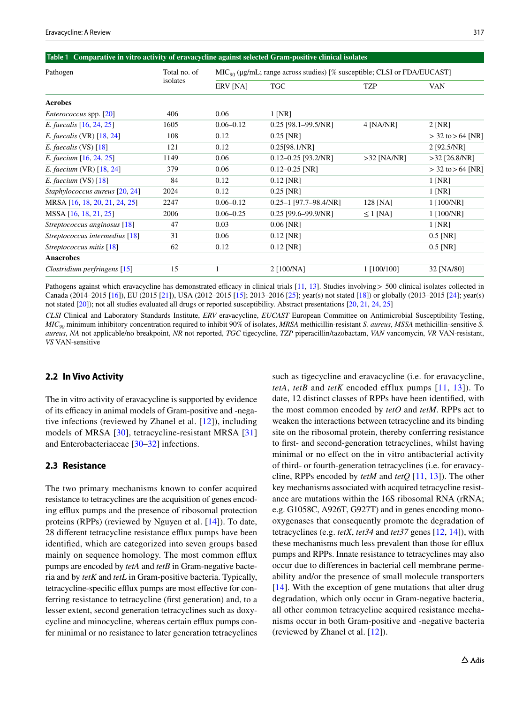<span id="page-2-1"></span>

| Pathogen                          | Total no. of<br>isolates | MIC <sub>90</sub> (µg/mL; range across studies) [% susceptible; CLSI or FDA/EUCAST] |                         |               |                       |
|-----------------------------------|--------------------------|-------------------------------------------------------------------------------------|-------------------------|---------------|-----------------------|
|                                   |                          | ERV [NA]                                                                            | <b>TGC</b>              | TZP           | <b>VAN</b>            |
| <b>Aerobes</b>                    |                          |                                                                                     |                         |               |                       |
| <i>Enterococcus</i> spp. [20]     | 406                      | 0.06                                                                                | $1$ [NR]                |               |                       |
| <i>E. faecalis</i> $[16, 24, 25]$ | 1605                     | $0.06 - 0.12$                                                                       | $0.25$ [98.1–99.5/NR]   | $4$ [NA/NR]   | $2$ [NR]              |
| E. faecalis (VR) $[18, 24]$       | 108                      | 0.12                                                                                | $0.25$ [NR]             |               | $>$ 32 to $>$ 64 [NR] |
| E. faecalis $(VS)$ [18]           | 121                      | 0.12                                                                                | 0.25[98.1/NR]           |               | 2 [92.5/NR]           |
| E. faecium $[16, 24, 25]$         | 1149                     | 0.06                                                                                | $0.12 - 0.25$ [93.2/NR] | $>32$ [NA/NR] | $>32$ [26.8/NR]       |
| <i>E. faecium</i> (VR) $[18, 24]$ | 379                      | 0.06                                                                                | $0.12 - 0.25$ [NR]      |               | $>$ 32 to $>$ 64 [NR] |
| E. faecium $(VS)$ [18]            | 84                       | 0.12                                                                                | $0.12$ [NR]             |               | $1$ [NR]              |
| Staphylococcus aureus [20, 24]    | 2024                     | 0.12                                                                                | $0.25$ [NR]             |               | $1$ [NR]              |
| MRSA [16, 18, 20, 21, 24, 25]     | 2247                     | $0.06 - 0.12$                                                                       | $0.25-1$ [97.7-98.4/NR] | 128 [NA]      | 1 [100/NR]            |
| MSSA [16, 18, 21, 25]             | 2006                     | $0.06 - 0.25$                                                                       | $0.25$ [99.6-99.9/NR]   | $\leq 1$ [NA] | 1 [100/NR]            |
| Streptococcus anginosus [18]      | 47                       | 0.03                                                                                | $0.06$ [NR]             |               | $1$ [NR]              |
| Streptococcus intermedius [18]    | 31                       | 0.06                                                                                | $0.12$ [NR]             |               | $0.5$ [NR]            |
| Streptococcus mitis [18]          | 62                       | 0.12                                                                                | $0.12$ [NR]             |               | $0.5$ [NR]            |
| <b>Anaerobes</b>                  |                          |                                                                                     |                         |               |                       |
| Clostridium perfringens [15]      | 15                       |                                                                                     | 2 [100/NA]              | 1 [100/100]   | 32 [NA/80]            |

Pathogens against which eravacycline has demonstrated efficacy in clinical trials  $[11, 13]$  $[11, 13]$  $[11, 13]$ . Studies involving > 500 clinical isolates collected in Canada (2014–2015 [[16](#page-8-13)]), EU (2015 [[21](#page-8-14)]), USA (2012–2015 [\[15\]](#page-8-10); 2013–2016 [\[25\]](#page-9-0); year(s) not stated [\[18\]](#page-8-11)) or globally (2013–2015 [[24](#page-9-1)]; year(s) not stated [[20](#page-8-12)]); not all studies evaluated all drugs or reported susceptibility. Abstract presentations [\[20,](#page-8-12) [21](#page-8-14), [24](#page-9-1), [25\]](#page-9-0)

*CLSI* Clinical and Laboratory Standards Institute, *ERV* eravacycline, *EUCAST* European Committee on Antimicrobial Susceptibility Testing, *MIC90* minimum inhibitory concentration required to inhibit 90% of isolates, *MRSA* methicillin-resistant *S. aureus*, *MSSA* methicillin-sensitive *S. aureus*, *NA* not applicable/no breakpoint, *NR* not reported, *TGC* tigecycline, *TZP* piperacillin/tazobactam, *VAN* vancomycin, *VR* VAN-resistant, *VS* VAN-sensitive

#### **2.2 In Vivo Activity**

The in vitro activity of eravacycline is supported by evidence of its efficacy in animal models of Gram-positive and -negative infections (reviewed by Zhanel et al. [[12\]](#page-8-7)), including models of MRSA [[30](#page-9-6)], tetracycline-resistant MRSA [\[31\]](#page-9-7) and Enterobacteriaceae [[30](#page-9-6)[–32](#page-9-8)] infections.

#### <span id="page-2-0"></span>**2.3 Resistance**

The two primary mechanisms known to confer acquired resistance to tetracyclines are the acquisition of genes encoding efflux pumps and the presence of ribosomal protection proteins (RPPs) (reviewed by Nguyen et al. [[14\]](#page-8-9)). To date, 28 different tetracycline resistance efflux pumps have been identifed, which are categorized into seven groups based mainly on sequence homology. The most common efflux pumps are encoded by *tetA* and *tetB* in Gram-negative bacteria and by *tetK* and *tetL* in Gram-positive bacteria. Typically, tetracycline-specific efflux pumps are most effective for conferring resistance to tetracycline (frst generation) and, to a lesser extent, second generation tetracyclines such as doxycycline and minocycline, whereas certain efflux pumps confer minimal or no resistance to later generation tetracyclines such as tigecycline and eravacycline (i.e. for eravacycline, *tetA*, *tetB* and *tetK* encoded efflux pumps [\[11,](#page-8-6) [13\]](#page-8-8)). To date, 12 distinct classes of RPPs have been identifed, with the most common encoded by *tetO* and *tetM*. RPPs act to weaken the interactions between tetracycline and its binding site on the ribosomal protein, thereby conferring resistance to frst- and second-generation tetracyclines, whilst having minimal or no efect on the in vitro antibacterial activity of third- or fourth-generation tetracyclines (i.e. for eravacycline, RPPs encoded by *tetM* and *tetQ* [\[11](#page-8-6), [13\]](#page-8-8)). The other key mechanisms associated with acquired tetracycline resistance are mutations within the 16S ribosomal RNA (rRNA; e.g. G1058C, A926T, G927T) and in genes encoding monooxygenases that consequently promote the degradation of tetracyclines (e.g. *tetX*, *tet34* and *tet37* genes [[12,](#page-8-7) [14\]](#page-8-9)), with these mechanisms much less prevalent than those for efflux pumps and RPPs. Innate resistance to tetracyclines may also occur due to diferences in bacterial cell membrane permeability and/or the presence of small molecule transporters [[14\]](#page-8-9). With the exception of gene mutations that alter drug degradation, which only occur in Gram-negative bacteria, all other common tetracycline acquired resistance mechanisms occur in both Gram-positive and -negative bacteria (reviewed by Zhanel et al. [[12\]](#page-8-7)).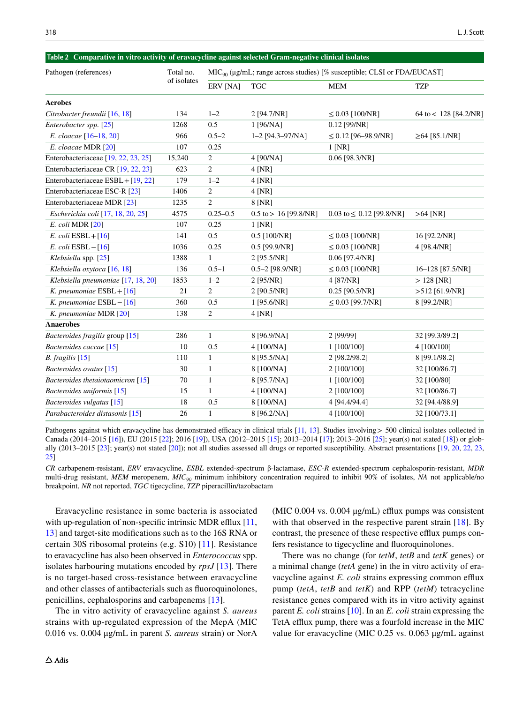<span id="page-3-0"></span>

| Table 2 Comparative in vitro activity of eravacycline against selected Gram-negative clinical isolates |                          |                                                                                |                         |                                        |                       |
|--------------------------------------------------------------------------------------------------------|--------------------------|--------------------------------------------------------------------------------|-------------------------|----------------------------------------|-----------------------|
| Pathogen (references)                                                                                  | Total no.<br>of isolates | $MIC90 (\mu g/mL)$ ; range across studies) [% susceptible; CLSI or FDA/EUCAST] |                         |                                        |                       |
|                                                                                                        |                          | ERV [NA]                                                                       | <b>TGC</b>              | <b>MEM</b>                             | <b>TZP</b>            |
| <b>Aerobes</b>                                                                                         |                          |                                                                                |                         |                                        |                       |
| Citrobacter freundii [16, 18]                                                                          | 134                      | $1 - 2$                                                                        | 2 [94.7/NR]             | $\leq$ 0.03 [100/NR]                   | 64 to < 128 [84.2/NR] |
| Enterobacter spp. [25]                                                                                 | 1268                     | 0.5                                                                            | 1 [96/NA]               | 0.12 [99/NR]                           |                       |
| E. cloacae [16-18, 20]                                                                                 | 966                      | $0.5 - 2$                                                                      | 1-2 [94.3-97/NA]        | $\leq$ 0.12 [96-98.9/NR]               | $\geq 64$ [85.1/NR]   |
| E. cloacae MDR [20]                                                                                    | 107                      | 0.25                                                                           |                         | $1$ [NR]                               |                       |
| Enterobacteriaceae [19, 22, 23, 25]                                                                    | 15,240                   | $\overline{c}$                                                                 | 4 [90/NA]               | 0.06 [98.3/NR]                         |                       |
| Enterobacteriaceae CR [19, 22, 23]                                                                     | 623                      | 2                                                                              | 4 [NR]                  |                                        |                       |
| Enterobacteriaceae ESBL + [19, 22]                                                                     | 179                      | $1 - 2$                                                                        | 4 [NR]                  |                                        |                       |
| Enterobacteriaceae ESC-R [23]                                                                          | 1406                     | 2                                                                              | $4$ [NR]                |                                        |                       |
| Enterobacteriaceae MDR [23]                                                                            | 1235                     | 2                                                                              | 8 [NR]                  |                                        |                       |
| Escherichia coli [17, 18, 20, 25]                                                                      | 4575                     | $0.25 - 0.5$                                                                   | $0.5$ to > 16 [99.8/NR] | $0.03 \text{ to } \leq 0.12$ [99.8/NR] | $>64$ [NR]            |
| $E.$ coli MDR $[20]$                                                                                   | 107                      | 0.25                                                                           | $1$ [NR]                |                                        |                       |
| $E.$ coli $ESBL + [16]$                                                                                | 141                      | 0.5                                                                            | 0.5 [100/NR]            | $\leq$ 0.03 [100/NR]                   | 16 [92.2/NR]          |
| $E.$ coli $ESBL - [16]$                                                                                | 1036                     | 0.25                                                                           | 0.5 [99.9/NR]           | $\leq$ 0.03 [100/NR]                   | 4 [98.4/NR]           |
| Klebsiella spp. [25]                                                                                   | 1388                     | $\mathbf{1}$                                                                   | 2 [95.5/NR]             | 0.06 [97.4/NR]                         |                       |
| Klebsiella oxytoca [16, 18]                                                                            | 136                      | $0.5 - 1$                                                                      | $0.5 - 2$ [98.9/NR]     | $\leq$ 0.03 [100/NR]                   | 16-128 [87.5/NR]      |
| Klebsiella pneumoniae [17, 18, 20]                                                                     | 1853                     | $1 - 2$                                                                        | 2 [95/NR]               | 4 [87/NR]                              | $> 128$ [NR]          |
| K. pneumoniae ESBL + [16]                                                                              | 21                       | $\overline{2}$                                                                 | 2 [90.5/NR]             | $0.25$ [90.5/NR]                       | $>512$ [61.9/NR]      |
| K. pneumoniae ESBL-[16]                                                                                | 360                      | 0.5                                                                            | 1 [95.6/NR]             | $\leq$ 0.03 [99.7/NR]                  | 8 [99.2/NR]           |
| K. pneumoniae MDR [20]                                                                                 | 138                      | $\overline{c}$                                                                 | 4 [NR]                  |                                        |                       |
| <b>Anaerobes</b>                                                                                       |                          |                                                                                |                         |                                        |                       |
| Bacteroides fragilis group [15]                                                                        | 286                      | $\mathbf{1}$                                                                   | 8 [96.9/NA]             | 2 [99/99]                              | 32 [99.3/89.2]        |
| Bacteroides caccae [15]                                                                                | 10                       | 0.5                                                                            | 4 [100/NA]              | 1 [100/100]                            | 4 [100/100]           |
| $B.$ fragilis [15]                                                                                     | 110                      | $\mathbf{1}$                                                                   | 8 [95.5/NA]             | 2 [98.2/98.2]                          | 8 [99.1/98.2]         |
| Bacteroides ovatus [15]                                                                                | 30                       | $\mathbf{1}$                                                                   | 8 [100/NA]              | 2 [100/100]                            | 32 [100/86.7]         |
| Bacteroides thetaiotaomicron [15]                                                                      | 70                       | $\mathbf{1}$                                                                   | 8 [95.7/NA]             | 1 [100/100]                            | 32 [100/80]           |
| Bacteroides uniformis [15]                                                                             | 15                       | $\mathbf{1}$                                                                   | 4 [100/NA]              | 2 [100/100]                            | 32 [100/86.7]         |
| Bacteroides vulgatus [15]                                                                              | 18                       | 0.5                                                                            | 8 [100/NA]              | 4 [94.4/94.4]                          | 32 [94.4/88.9]        |
| Parabacteroides distasonis [15]                                                                        | 26                       | $\mathbf{1}$                                                                   | 8 [96.2/NA]             | 4 [100/100]                            | 32 [100/73.1]         |
|                                                                                                        |                          |                                                                                |                         |                                        |                       |

Pathogens against which eravacycline has demonstrated efficacy in clinical trials [\[11,](#page-8-6) [13\]](#page-8-8). Studies involving > 500 clinical isolates collected in Canada (2014–2015 [[16](#page-8-13)]), EU (2015 [[22](#page-8-15)]; 2016 [[19](#page-8-17)]), USA (2012–2015 [\[15\]](#page-8-10); 2013–2014 [\[17\]](#page-8-18); 2013–2016 [\[25\]](#page-9-0); year(s) not stated [[18](#page-8-11)]) or globally (2013–2015 [\[23\]](#page-8-16); year(s) not stated [\[20\]](#page-8-12)); not all studies assessed all drugs or reported susceptibility. Abstract presentations [[19](#page-8-17), [20](#page-8-12), [22](#page-8-15), [23](#page-8-16), [25\]](#page-9-0)

*CR* carbapenem-resistant, *ERV* eravacycline, *ESBL* extended-spectrum β-lactamase, *ESC*-*R* extended-spectrum cephalosporin-resistant, *MDR* multi-drug resistant, *MEM* meropenem, *MIC<sub>90</sub>* minimum inhibitory concentration required to inhibit 90% of isolates, *NA* not applicable/no breakpoint, *NR* not reported, *TGC* tigecycline, *TZP* piperacillin/tazobactam

Eravacycline resistance in some bacteria is associated with up-regulation of non-specific intrinsic MDR efflux  $[11,$  $[11,$ [13](#page-8-8)] and target-site modifcations such as to the 16S RNA or certain 30S ribosomal proteins (e.g. S10) [[11\]](#page-8-6). Resistance to eravacycline has also been observed in *Enterococcus* spp. isolates harbouring mutations encoded by *rpsJ* [[13\]](#page-8-8). There is no target-based cross-resistance between eravacycline and other classes of antibacterials such as fuoroquinolones, penicillins, cephalosporins and carbapenems [\[13](#page-8-8)].

The in vitro activity of eravacycline against *S. aureus* strains with up-regulated expression of the MepA (MIC 0.016 vs. 0.004 μg/mL in parent *S. aureus* strain) or NorA (MIC 0.004 vs. 0.004  $\mu$ g/mL) efflux pumps was consistent with that observed in the respective parent strain [\[18\]](#page-8-11). By contrast, the presence of these respective efflux pumps confers resistance to tigecycline and fuoroquinolones.

There was no change (for *tetM*, *tetB* and *tetK* genes) or a minimal change (*tetA* gene) in the in vitro activity of eravacycline against *E. coli* strains expressing common efflux pump (*tetA*, *tetB* and *tetK*) and RPP (*tetM*) tetracycline resistance genes compared with its in vitro activity against parent *E. coli* strains [[10\]](#page-8-5). In an *E. coli* strain expressing the TetA efflux pump, there was a fourfold increase in the MIC value for eravacycline (MIC 0.25 vs. 0.063 μg/mL against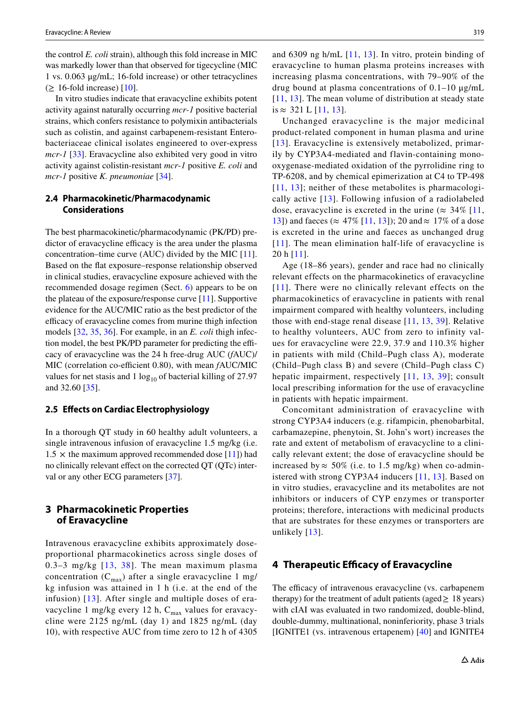the control *E. coli* strain), although this fold increase in MIC was markedly lower than that observed for tigecycline (MIC 1 vs. 0.063 μg/mL; 16-fold increase) or other tetracyclines  $(\geq 16$ -fold increase) [\[10](#page-8-5)].

In vitro studies indicate that eravacycline exhibits potent activity against naturally occurring *mcr*-*1* positive bacterial strains, which confers resistance to polymixin antibacterials such as colistin, and against carbapenem-resistant Enterobacteriaceae clinical isolates engineered to over-express *mcr*-*1* [\[33\]](#page-9-9). Eravacycline also exhibited very good in vitro activity against colistin-resistant *mcr*-*1* positive *E. coli* and *mcr*-*1* positive *K. pneumoniae* [[34\]](#page-9-10).

## **2.4 Pharmacokinetic/Pharmacodynamic Considerations**

The best pharmacokinetic/pharmacodynamic (PK/PD) predictor of eravacycline efficacy is the area under the plasma concentration–time curve (AUC) divided by the MIC [\[11](#page-8-6)]. Based on the fat exposure–response relationship observed in clinical studies, eravacycline exposure achieved with the recommended dosage regimen (Sect. [6\)](#page-6-0) appears to be on the plateau of the exposure/response curve [[11\]](#page-8-6). Supportive evidence for the AUC/MIC ratio as the best predictor of the efficacy of eravacycline comes from murine thigh infection models [\[32](#page-9-8), [35](#page-9-11), [36\]](#page-9-12). For example, in an *E. coli* thigh infection model, the best PK/PD parameter for predicting the efficacy of eravacycline was the 24 h free-drug AUC (*f*AUC)/ MIC (correlation co-efficient 0.80), with mean *fAUC/MIC* values for net stasis and 1  $log_{10}$  of bacterial killing of 27.97 and 32.60 [[35\]](#page-9-11).

#### **2.5 Efects on Cardiac Electrophysiology**

In a thorough QT study in 60 healthy adult volunteers, a single intravenous infusion of eravacycline 1.5 mg/kg (i.e.  $1.5 \times$  the maximum approved recommended dose [[11\]](#page-8-6)) had no clinically relevant efect on the corrected QT (QTc) inter-val or any other ECG parameters [\[37](#page-9-13)].

## **3 Pharmacokinetic Properties of Eravacycline**

Intravenous eravacycline exhibits approximately doseproportional pharmacokinetics across single doses of 0.3–3 mg/kg [[13,](#page-8-8) [38](#page-9-14)]. The mean maximum plasma concentration  $(C_{\text{max}})$  after a single eravacycline 1 mg/ kg infusion was attained in 1 h (i.e. at the end of the infusion) [[13](#page-8-8)]. After single and multiple doses of eravacycline 1 mg/kg every 12 h,  $C_{\text{max}}$  values for eravacycline were 2125 ng/mL (day 1) and 1825 ng/mL (day 10), with respective AUC from time zero to 12 h of 4305 and 6309 ng h/mL [[11,](#page-8-6) [13\]](#page-8-8). In vitro, protein binding of eravacycline to human plasma proteins increases with increasing plasma concentrations, with 79–90% of the drug bound at plasma concentrations of 0.1–10 μg/mL [[11](#page-8-6), [13\]](#page-8-8). The mean volume of distribution at steady state is ≈ 321 L [[11](#page-8-6), [13](#page-8-8)].

Unchanged eravacycline is the major medicinal product-related component in human plasma and urine [[13\]](#page-8-8). Eravacycline is extensively metabolized, primarily by CYP3A4-mediated and flavin-containing monooxygenase-mediated oxidation of the pyrrolidine ring to TP-6208, and by chemical epimerization at C4 to TP-498 [[11](#page-8-6), [13](#page-8-8)]; neither of these metabolites is pharmacologically active [[13](#page-8-8)]. Following infusion of a radiolabeled dose, eravacycline is excreted in the urine ( $\approx 34\%$  [[11,](#page-8-6) [13](#page-8-8)]) and faeces (≈ 47% [\[11,](#page-8-6) [13\]](#page-8-8)); 20 and  $\approx$  17% of a dose is excreted in the urine and faeces as unchanged drug [[11\]](#page-8-6). The mean elimination half-life of eravacycline is 20 h [[11](#page-8-6)].

Age (18–86 years), gender and race had no clinically relevant effects on the pharmacokinetics of eravacycline [[11\]](#page-8-6). There were no clinically relevant effects on the pharmacokinetics of eravacycline in patients with renal impairment compared with healthy volunteers, including those with end-stage renal disease [[11](#page-8-6), [13](#page-8-8), [39](#page-9-15)]. Relative to healthy volunteers, AUC from zero to infinity values for eravacycline were 22.9, 37.9 and 110.3% higher in patients with mild (Child–Pugh class A), moderate (Child–Pugh class B) and severe (Child–Pugh class C) hepatic impairment, respectively [[11](#page-8-6), [13](#page-8-8), [39\]](#page-9-15); consult local prescribing information for the use of eravacycline in patients with hepatic impairment.

Concomitant administration of eravacycline with strong CYP3A4 inducers (e.g. rifampicin, phenobarbital, carbamazepine, phenytoin, St. John's wort) increases the rate and extent of metabolism of eravacycline to a clinically relevant extent; the dose of eravacycline should be increased by  $\approx 50\%$  (i.e. to 1.5 mg/kg) when co-administered with strong CYP3A4 inducers [\[11,](#page-8-6) [13\]](#page-8-8). Based on in vitro studies, eravacycline and its metabolites are not inhibitors or inducers of CYP enzymes or transporter proteins; therefore, interactions with medicinal products that are substrates for these enzymes or transporters are unlikely [[13](#page-8-8)].

#### <span id="page-4-0"></span>**4 Therapeutic Efficacy of Eravacycline**

The efficacy of intravenous eravacycline (vs. carbapenem therapy) for the treatment of adult patients (aged $\geq 18$  years) with cIAI was evaluated in two randomized, double-blind, double-dummy, multinational, noninferiority, phase 3 trials [IGNITE1 (vs. intravenous ertapenem) [\[40\]](#page-9-16) and IGNITE4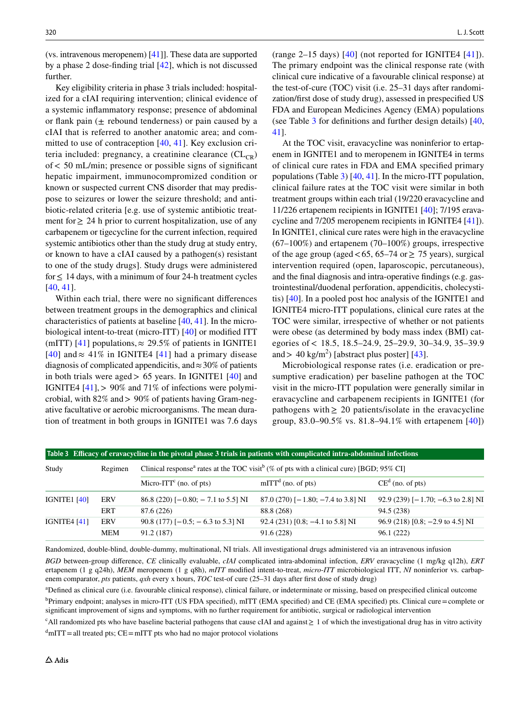(vs. intravenous meropenem) [\[41](#page-9-17)]]. These data are supported by a phase 2 dose-fnding trial [[42\]](#page-9-18), which is not discussed further.

Key eligibility criteria in phase 3 trials included: hospitalized for a cIAI requiring intervention; clinical evidence of a systemic infammatory response; presence of abdominal or flank pain  $(\pm$  rebound tenderness) or pain caused by a cIAI that is referred to another anatomic area; and committed to use of contraception [[40,](#page-9-16) [41](#page-9-17)]. Key exclusion criteria included: pregnancy, a creatinine clearance  $CL_{CR}$ )  $of < 50$  mL/min; presence or possible signs of significant hepatic impairment, immunocompromized condition or known or suspected current CNS disorder that may predispose to seizures or lower the seizure threshold; and antibiotic-related criteria [e.g. use of systemic antibiotic treatment for  $\geq$  24 h prior to current hospitalization, use of any carbapenem or tigecycline for the current infection, required systemic antibiotics other than the study drug at study entry, or known to have a cIAI caused by a pathogen(s) resistant to one of the study drugs]. Study drugs were administered for≤ 14 days, with a minimum of four 24-h treatment cycles [\[40,](#page-9-16) [41\]](#page-9-17).

Within each trial, there were no signifcant diferences between treatment groups in the demographics and clinical characteristics of patients at baseline [[40,](#page-9-16) [41\]](#page-9-17). In the microbiological intent-to-treat (micro-ITT) [[40\]](#page-9-16) or modifed ITT (mITT) [[41\]](#page-9-17) populations,  $\approx 29.5\%$  of patients in IGNITE1 [[40\]](#page-9-16) and  $\approx$  [41](#page-9-17)% in IGNITE4 [41] had a primary disease diagnosis of complicated appendicitis, and≈30% of patients in both trials were aged  $> 65$  years. In IGNITE1 [[40](#page-9-16)] and IGNITE4  $[41]$  $[41]$ , > 90% and 71% of infections were polymicrobial, with 82% and> 90% of patients having Gram-negative facultative or aerobic microorganisms. The mean duration of treatment in both groups in IGNITE1 was 7.6 days

(range  $2-15$  days)  $[40]$  (not reported for IGNITE4  $[41]$ ). The primary endpoint was the clinical response rate (with clinical cure indicative of a favourable clinical response) at the test-of-cure (TOC) visit (i.e. 25–31 days after randomization/frst dose of study drug), assessed in prespecifed US FDA and European Medicines Agency (EMA) populations (see Table [3](#page-5-0) for defnitions and further design details) [[40,](#page-9-16) [41](#page-9-17)].

At the TOC visit, eravacycline was noninferior to ertapenem in IGNITE1 and to meropenem in IGNITE4 in terms of clinical cure rates in FDA and EMA specifed primary populations (Table [3\)](#page-5-0) [[40,](#page-9-16) [41\]](#page-9-17). In the micro-ITT population, clinical failure rates at the TOC visit were similar in both treatment groups within each trial (19/220 eravacycline and 11/226 ertapenem recipients in IGNITE1 [\[40](#page-9-16)]; 7/195 eravacycline and 7/205 meropenem recipients in IGNITE4 [[41\]](#page-9-17)). In IGNITE1, clinical cure rates were high in the eravacycline (67–100%) and ertapenem (70–100%) groups, irrespective of the age group (aged <65, 65–74 or  $\geq$  75 years), surgical intervention required (open, laparoscopic, percutaneous), and the fnal diagnosis and intra-operative fndings (e.g. gastrointestinal/duodenal perforation, appendicitis, cholecystitis) [[40](#page-9-16)]. In a pooled post hoc analysis of the IGNITE1 and IGNITE4 micro-ITT populations, clinical cure rates at the TOC were similar, irrespective of whether or not patients were obese (as determined by body mass index (BMI) categories of< 18.5, 18.5–24.9, 25–29.9, 30–34.9, 35–39.9 and >  $40 \text{ kg/m}^2$ ) [abstract plus poster] [[43\]](#page-9-19).

Microbiological response rates (i.e. eradication or presumptive eradication) per baseline pathogen at the TOC visit in the micro-ITT population were generally similar in eravacycline and carbapenem recipients in IGNITE1 (for pathogens with  $\geq 20$  patients/isolate in the eravacycline group, 83.0–90.5% vs. 81.8–94.1% with ertapenem [[40](#page-9-16)])

<span id="page-5-0"></span>

|                     | Table 3 Efficacy of eravacycline in the pivotal phase 3 trials in patients with complicated intra-abdominal infections |                                                                                                                     |                                      |                                       |  |  |  |  |
|---------------------|------------------------------------------------------------------------------------------------------------------------|---------------------------------------------------------------------------------------------------------------------|--------------------------------------|---------------------------------------|--|--|--|--|
| Study               | Regimen                                                                                                                | Clinical response <sup>a</sup> rates at the TOC visit <sup>b</sup> (% of pts with a clinical cure) [BGD; $95\%$ CI] |                                      |                                       |  |  |  |  |
|                     |                                                                                                                        | Micro-ITT <sup><math>c</math></sup> (no. of pts)                                                                    | $mTTd$ (no. of pts)                  | $CEd$ (no. of pts)                    |  |  |  |  |
| <b>IGNITE1</b> [40] | ERV                                                                                                                    | $86.8(220)$ [-0.80; -7.1 to 5.5] NI                                                                                 | 87.0 (270) $[-1.80; -7.4$ to 3.8] NI | 92.9 (239) $[-1.70; -6.3]$ to 2.8] NI |  |  |  |  |
|                     | ERT                                                                                                                    | 87.6 (226)                                                                                                          | 88.8 (268)                           | 94.5 (238)                            |  |  |  |  |
| IGNITE4 $[41]$      | <b>ERV</b>                                                                                                             | 90.8 (177) $[-0.5; -6.3 \text{ to } 5.3]$ NI                                                                        | 92.4 (231) [0.8; $-4.1$ to 5.8] NI   | 96.9 (218) [0.8; $-2.9$ to 4.5] NI    |  |  |  |  |
|                     | MEM                                                                                                                    | 91.2(187)                                                                                                           | 91.6(228)                            | 96.1 (222)                            |  |  |  |  |

Randomized, double-blind, double-dummy, multinational, NI trials. All investigational drugs administered via an intravenous infusion

*BGD* between-group diference, *CE* clinically evaluable, *cIAI* complicated intra-abdominal infection, *ERV* eravacycline (1 mg/kg q12h), *ERT* ertapenem (1 g q24h), *MEM* meropenem (1 g q8h), *mITT* modifed intent-to-treat, *micro*-*ITT* microbiological ITT, *NI* noninferior vs. carbapenem comparator, *pts* patients, *qxh* every x hours, *TOC* test-of cure (25–31 days after frst dose of study drug)

a Defned as clinical cure (i.e. favourable clinical response), clinical failure, or indeterminate or missing, based on prespecifed clinical outcome

<sup>b</sup>Primary endpoint; analyses in micro-ITT (US FDA specified), mITT (EMA specified) and CE (EMA specified) pts. Clinical cure=complete or signifcant improvement of signs and symptoms, with no further requirement for antibiotic, surgical or radiological intervention

c All randomized pts who have baseline bacterial pathogens that cause cIAI and against≥ 1 of which the investigational drug has in vitro activity  $\mathrm{d}$ mITT = all treated pts; CE = mITT pts who had no major protocol violations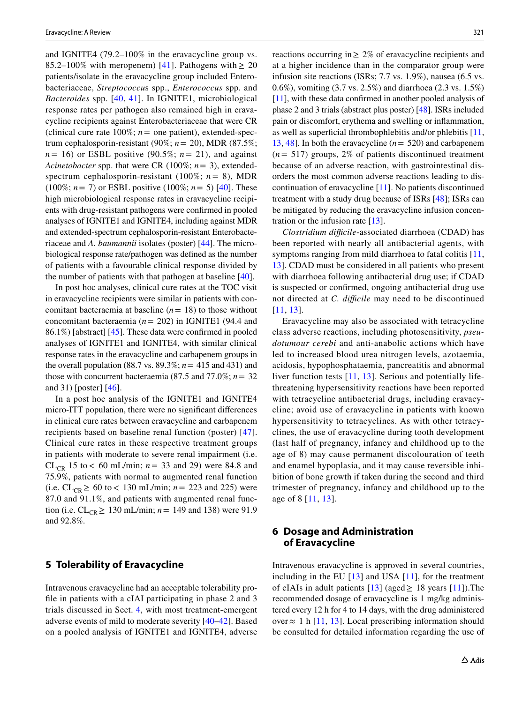and IGNITE4 (79.2–100% in the eravacycline group vs. 85.2–100% with meropenem) [[41](#page-9-17)]. Pathogens with  $\geq 20$ patients/isolate in the eravacycline group included Enterobacteriaceae, *Streptococcu*s spp., *Enterococcus* spp. and *Bacteroides* spp. [\[40,](#page-9-16) [41](#page-9-17)]. In IGNITE1, microbiological response rates per pathogen also remained high in eravacycline recipients against Enterobacteriaceae that were CR (clinical cure rate  $100\%$ ;  $n =$  one patient), extended-spectrum cephalosporin-resistant (90%; *n*= 20), MDR (87.5%;  $n = 16$ ) or ESBL positive (90.5%;  $n = 21$ ), and against *Acinetobacter* spp. that were CR (100%; *n*= 3), extendedspectrum cephalosporin-resistant (100%; *n* = 8), MDR  $(100\%; n = 7)$  or ESBL positive  $(100\%; n = 5)$  [\[40](#page-9-16)]. These high microbiological response rates in eravacycline recipients with drug-resistant pathogens were confrmed in pooled analyses of IGNITE1 and IGNITE4, including against MDR and extended-spectrum cephalosporin-resistant Enterobacteriaceae and *A. baumannii* isolates (poster) [[44\]](#page-9-20). The microbiological response rate/pathogen was defned as the number of patients with a favourable clinical response divided by the number of patients with that pathogen at baseline [\[40](#page-9-16)].

In post hoc analyses, clinical cure rates at the TOC visit in eravacycline recipients were similar in patients with concomitant bacteraemia at baseline (*n*= 18) to those without concomitant bacteraemia (*n*= 202) in IGNITE1 (94.4 and 86.1%) [abstract] [[45\]](#page-9-21). These data were confrmed in pooled analyses of IGNITE1 and IGNITE4, with similar clinical response rates in the eravacycline and carbapenem groups in the overall population (88.7 vs. 89.3%; *n*= 415 and 431) and those with concurrent bacteraemia (87.5 and 77.0%;  $n = 32$ ) and 31) [poster] [\[46](#page-9-22)].

In a post hoc analysis of the IGNITE1 and IGNITE4 micro-ITT population, there were no signifcant diferences in clinical cure rates between eravacycline and carbapenem recipients based on baseline renal function (poster) [[47](#page-9-23)]. Clinical cure rates in these respective treatment groups in patients with moderate to severe renal impairment (i.e.  $CL_{CR}$  15 to < 60 mL/min;  $n = 33$  and 29) were 84.8 and 75.9%, patients with normal to augmented renal function (i.e. CL<sub>CR</sub> ≥ 60 to < 130 mL/min; *n* = 223 and 225) were 87.0 and 91.1%, and patients with augmented renal function (i.e.  $CL_{CR} \ge 130$  mL/min; *n* = 149 and 138) were 91.9 and 92.8%.

#### <span id="page-6-1"></span>**5 Tolerability of Eravacycline**

Intravenous eravacycline had an acceptable tolerability profle in patients with a cIAI participating in phase 2 and 3 trials discussed in Sect. [4](#page-4-0), with most treatment-emergent adverse events of mild to moderate severity [[40](#page-9-16)[–42](#page-9-18)]. Based on a pooled analysis of IGNITE1 and IGNITE4, adverse

reactions occurring in≥ 2% of eravacycline recipients and at a higher incidence than in the comparator group were infusion site reactions (ISRs; 7.7 vs. 1.9%), nausea (6.5 vs. 0.6%), vomiting (3.7 vs. 2.5%) and diarrhoea (2.3 vs. 1.5%) [\[11](#page-8-6)], with these data confrmed in another pooled analysis of phase 2 and 3 trials (abstract plus poster) [[48\]](#page-9-24). ISRs included pain or discomfort, erythema and swelling or infammation, as well as superfcial thrombophlebitis and/or phlebitis [[11,](#page-8-6) [13](#page-8-8), [48](#page-9-24)]. In both the eravacycline (*n*= 520) and carbapenem (*n*= 517) groups, 2% of patients discontinued treatment because of an adverse reaction, with gastrointestinal disorders the most common adverse reactions leading to discontinuation of eravacycline [[11](#page-8-6)]. No patients discontinued treatment with a study drug because of ISRs [[48\]](#page-9-24); ISRs can be mitigated by reducing the eravacycline infusion concentration or the infusion rate [\[13](#page-8-8)].

*Clostridium difcile*-associated diarrhoea (CDAD) has been reported with nearly all antibacterial agents, with symptoms ranging from mild diarrhoea to fatal colitis [[11,](#page-8-6) [13](#page-8-8)]. CDAD must be considered in all patients who present with diarrhoea following antibacterial drug use; if CDAD is suspected or confrmed, ongoing antibacterial drug use not directed at *C. difficile* may need to be discontinued [[11,](#page-8-6) [13](#page-8-8)].

Eravacycline may also be associated with tetracycline class adverse reactions, including photosensitivity, *pseudotumour cerebi* and anti-anabolic actions which have led to increased blood urea nitrogen levels, azotaemia, acidosis, hypophosphataemia, pancreatitis and abnormal liver function tests [\[11,](#page-8-6) [13\]](#page-8-8). Serious and potentially lifethreatening hypersensitivity reactions have been reported with tetracycline antibacterial drugs, including eravacycline; avoid use of eravacycline in patients with known hypersensitivity to tetracyclines. As with other tetracyclines, the use of eravacycline during tooth development (last half of pregnancy, infancy and childhood up to the age of 8) may cause permanent discolouration of teeth and enamel hypoplasia, and it may cause reversible inhibition of bone growth if taken during the second and third trimester of pregnancy, infancy and childhood up to the age of 8 [[11,](#page-8-6) [13\]](#page-8-8).

## <span id="page-6-0"></span>**6 Dosage and Administration of Eravacycline**

Intravenous eravacycline is approved in several countries, including in the EU  $[13]$  $[13]$  $[13]$  and USA  $[11]$  $[11]$  $[11]$ , for the treatment of cIAIs in adult patients  $[13]$  $[13]$  (aged  $\geq 18$  years  $[11]$  $[11]$ ). The recommended dosage of eravacycline is 1 mg/kg administered every 12 h for 4 to 14 days, with the drug administered over  $\approx$  1 h [\[11,](#page-8-6) [13](#page-8-8)]. Local prescribing information should be consulted for detailed information regarding the use of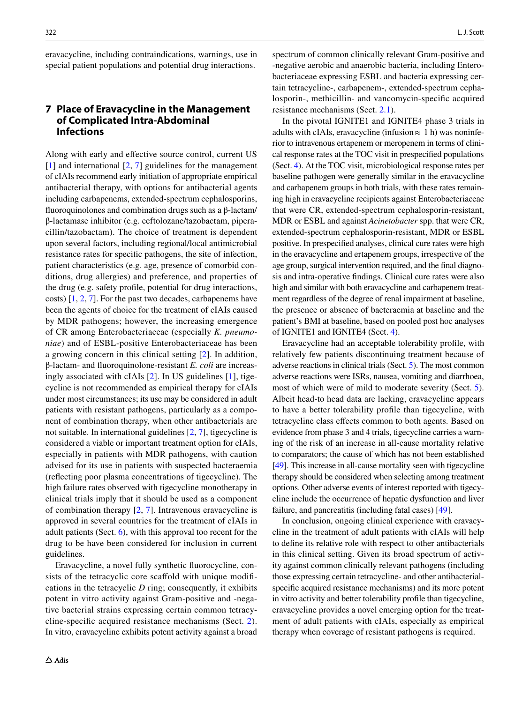eravacycline, including contraindications, warnings, use in special patient populations and potential drug interactions.

## **7 Place of Eravacycline in the Management of Complicated Intra‑Abdominal Infections**

Along with early and efective source control, current US [\[1\]](#page-8-0) and international [\[2](#page-8-1), [7\]](#page-8-3) guidelines for the management of cIAIs recommend early initiation of appropriate empirical antibacterial therapy, with options for antibacterial agents including carbapenems, extended-spectrum cephalosporins, fuoroquinolones and combination drugs such as a β-lactam/ β-lactamase inhibitor (e.g. ceftolozane/tazobactam, piperacillin/tazobactam). The choice of treatment is dependent upon several factors, including regional/local antimicrobial resistance rates for specifc pathogens, the site of infection, patient characteristics (e.g. age, presence of comorbid conditions, drug allergies) and preference, and properties of the drug (e.g. safety profle, potential for drug interactions, costs) [\[1](#page-8-0), [2,](#page-8-1) [7\]](#page-8-3). For the past two decades, carbapenems have been the agents of choice for the treatment of cIAIs caused by MDR pathogens; however, the increasing emergence of CR among Enterobacteriaceae (especially *K. pneumoniae*) and of ESBL-positive Enterobacteriaceae has been a growing concern in this clinical setting [\[2](#page-8-1)]. In addition, β-lactam- and fuoroquinolone-resistant *E. coli* are increasingly associated with cIAIs [\[2](#page-8-1)]. In US guidelines [[1](#page-8-0)], tigecycline is not recommended as empirical therapy for cIAIs under most circumstances; its use may be considered in adult patients with resistant pathogens, particularly as a component of combination therapy, when other antibacterials are not suitable. In international guidelines [\[2](#page-8-1), [7](#page-8-3)], tigecycline is considered a viable or important treatment option for cIAIs, especially in patients with MDR pathogens, with caution advised for its use in patients with suspected bacteraemia (refecting poor plasma concentrations of tigecycline). The high failure rates observed with tigecycline monotherapy in clinical trials imply that it should be used as a component of combination therapy  $[2, 7]$  $[2, 7]$  $[2, 7]$ . Intravenous eravacycline is approved in several countries for the treatment of cIAIs in adult patients (Sect. [6](#page-6-0)), with this approval too recent for the drug to be have been considered for inclusion in current guidelines.

Eravacycline, a novel fully synthetic fuorocycline, consists of the tetracyclic core scafold with unique modifcations in the tetracyclic *D* ring; consequently, it exhibits potent in vitro activity against Gram-positive and -negative bacterial strains expressing certain common tetracycline-specifc acquired resistance mechanisms (Sect. [2](#page-1-0)). In vitro, eravacycline exhibits potent activity against a broad spectrum of common clinically relevant Gram-positive and -negative aerobic and anaerobic bacteria, including Enterobacteriaceae expressing ESBL and bacteria expressing certain tetracycline-, carbapenem-, extended-spectrum cephalosporin-, methicillin- and vancomycin-specifc acquired resistance mechanisms (Sect. [2.1](#page-1-1)).

In the pivotal IGNITE1 and IGNITE4 phase 3 trials in adults with cIAIs, eravacycline (infusion  $\approx 1$  h) was noninferior to intravenous ertapenem or meropenem in terms of clinical response rates at the TOC visit in prespecifed populations (Sect. [4](#page-4-0)). At the TOC visit, microbiological response rates per baseline pathogen were generally similar in the eravacycline and carbapenem groups in both trials, with these rates remaining high in eravacycline recipients against Enterobacteriaceae that were CR, extended-spectrum cephalosporin-resistant, MDR or ESBL and against *Acinetobacter* spp. that were CR, extended-spectrum cephalosporin-resistant, MDR or ESBL positive. In prespecifed analyses, clinical cure rates were high in the eravacycline and ertapenem groups, irrespective of the age group, surgical intervention required, and the fnal diagnosis and intra-operative fndings. Clinical cure rates were also high and similar with both eravacycline and carbapenem treatment regardless of the degree of renal impairment at baseline, the presence or absence of bacteraemia at baseline and the patient's BMI at baseline, based on pooled post hoc analyses of IGNITE1 and IGNITE4 (Sect. [4\)](#page-4-0).

Eravacycline had an acceptable tolerability profle, with relatively few patients discontinuing treatment because of adverse reactions in clinical trials (Sect. [5](#page-6-1)). The most common adverse reactions were ISRs, nausea, vomiting and diarrhoea, most of which were of mild to moderate severity (Sect. [5](#page-6-1)). Albeit head-to head data are lacking, eravacycline appears to have a better tolerability profle than tigecycline, with tetracycline class efects common to both agents. Based on evidence from phase 3 and 4 trials, tigecycline carries a warning of the risk of an increase in all-cause mortality relative to comparators; the cause of which has not been established [\[49](#page-9-25)]. This increase in all-cause mortality seen with tigecycline therapy should be considered when selecting among treatment options. Other adverse events of interest reported with tigecycline include the occurrence of hepatic dysfunction and liver failure, and pancreatitis (including fatal cases) [\[49](#page-9-25)].

In conclusion, ongoing clinical experience with eravacycline in the treatment of adult patients with cIAIs will help to defne its relative role with respect to other antibacterials in this clinical setting. Given its broad spectrum of activity against common clinically relevant pathogens (including those expressing certain tetracycline- and other antibacterialspecifc acquired resistance mechanisms) and its more potent in vitro activity and better tolerability profle than tigecycline, eravacycline provides a novel emerging option for the treatment of adult patients with cIAIs, especially as empirical therapy when coverage of resistant pathogens is required.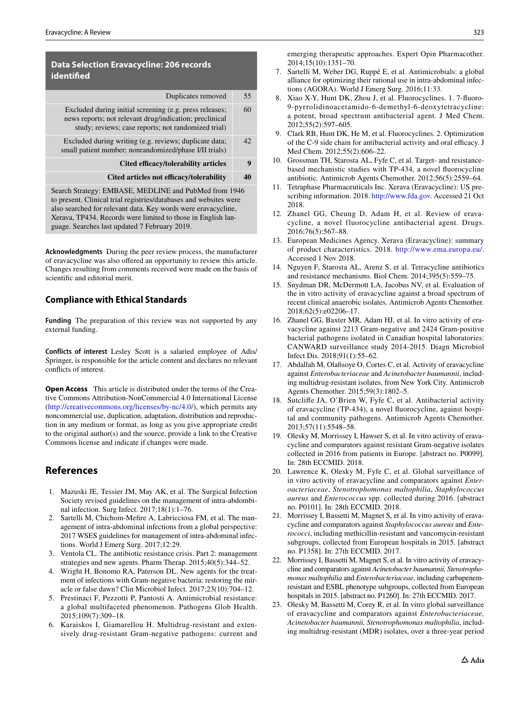# **Data Selection Eravacycline: 206 records identifed**

| Duplicates removed                                                                                                                                                                                                                                          | 55 |
|-------------------------------------------------------------------------------------------------------------------------------------------------------------------------------------------------------------------------------------------------------------|----|
| Excluded during initial screening (e.g. press releases;<br>news reports; not relevant drug/indication; preclinical<br>study; reviews; case reports; not randomized trial)                                                                                   | 60 |
| Excluded during writing (e.g. reviews; duplicate data;<br>small patient number; nonrandomized/phase I/II trials)                                                                                                                                            | 42 |
| Cited efficacy/tolerability articles                                                                                                                                                                                                                        | 9  |
| Cited articles not efficacy/tolerability                                                                                                                                                                                                                    | 40 |
| Search Strategy: EMBASE, MEDLINE and PubMed from 1946<br>to present. Clinical trial registries/databases and websites were<br>also searched for relevant data. Key words were eravacycline,<br>Xerava, TP434. Records were limited to those in English lan- |    |

**Acknowledgments** During the peer review process, the manufacturer of eravacycline was also ofered an opportunity to review this article. Changes resulting from comments received were made on the basis of scientifc and editorial merit.

## **Compliance with Ethical Standards**

guage. Searches last updated 7 February 2019.

**Funding** The preparation of this review was not supported by any external funding.

**Conflicts of interest** Lesley Scott is a salaried employee of Adis/ Springer, is responsible for the article content and declares no relevant conficts of interest.

**Open Access** This article is distributed under the terms of the Creative Commons Attribution-NonCommercial 4.0 International License (<http://creativecommons.org/licenses/by-nc/4.0/>), which permits any noncommercial use, duplication, adaptation, distribution and reproduction in any medium or format, as long as you give appropriate credit to the original author(s) and the source, provide a link to the Creative Commons license and indicate if changes were made.

## **References**

- <span id="page-8-0"></span>1. Mazuski JE, Tessier JM, May AK, et al. The Surgical Infection Society revised guidelines on the management of intra-abdombinal infection. Surg Infect. 2017;18(1):1–76.
- <span id="page-8-1"></span>2. Sartelli M, Chichom-Mefre A, Labricciosa FM, et al. The management of intra-abdominal infections from a global perspective: 2017 WSES guidelines for management of intra-abdominal infections. World J Emerg Surg. 2017;12:29.
- <span id="page-8-2"></span>3. Ventola CL. The antibiotic resistance crisis. Part 2: management strategies and new agents. Pharm Therap. 2015;40(5):344–52.
- 4. Wright H, Bonomo RA, Paterson DL. New agents for the treatment of infections with Gram-negative bacteria: restoring the miracle or false dawn? Clin Microbiol Infect. 2017;23(10):704–12.
- 5. Prestinaci F, Pezzotti P, Pantosti A. Antimicrobial resistance: a global multifaceted phenomenon. Pathogens Glob Health. 2015;109(7):309–18.
- 6. Karaiskos I, Giamarellou H. Multidrug-resistant and extensively drug-resistant Gram-negative pathogens: current and

emerging therapeutic approaches. Expert Opin Pharmacother. 2014;15(10):1351–70.

- <span id="page-8-3"></span>7. Sartelli M, Weber DG, Ruppé E, et al. Antimicrobials: a global alliance for optimizing their rational use in intra-abdominal infections (AGORA). World J Emerg Surg. 2016;11:33.
- <span id="page-8-4"></span>8. Xiao X-Y, Hunt DK, Zhou J, et al. Fluorocyclines. 1. 7-fuoro-9-pyrrolidinoacetamido-6-demethyl-6-deoxytetracycline: a potent, broad spectrum antibacterial agent. J Med Chem. 2012;55(2):597–605.
- 9. Clark RB, Hunt DK, He M, et al. Fluorocyclines. 2. Optimization of the C-9 side chain for antibacterial activity and oral efficacy. J Med Chem. 2012;55(2):606–22.
- <span id="page-8-5"></span>10. Grossman TH, Starosta AL, Fyfe C, et al. Target- and resistancebased mechanistic studies with TP-434, a novel fuorocycline antibiotic. Antimicrob Agents Chemother. 2012;56(5):2559–64.
- <span id="page-8-6"></span>11. Tetraphase Pharmaceuticals Inc. Xerava (Eravacycline): US prescribing information. 2018.<http://www.fda.gov>. Accessed 21 Oct 2018.
- <span id="page-8-7"></span>12. Zhanel GG, Cheung D, Adam H, et al. Review of eravacycline, a novel fluorocycline antibacterial agent. Drugs. 2016;76(5):567–88.
- <span id="page-8-8"></span>13. European Medicines Agency. Xerava (Eravacycline): summary of product characteristics. 2018. <http://www.ema.europa.eu/>. Accessed 1 Nov 2018.
- <span id="page-8-9"></span>14. Nguyen F, Starosta AL, Arenz S, et al. Tetracycline antibiotics and resistance mechanisms. Biol Chem. 2014;395(5):559–75.
- <span id="page-8-10"></span>15. Snydman DR, McDermott LA, Jacobus NV, et al. Evaluation of the in vitro activity of eravacycline against a broad spectrum of recent clinical anaerobic isolates. Antimicrob Agents Chemother. 2018;62(5):e02206–17.
- <span id="page-8-13"></span>16. Zhanel GG, Baxter MR, Adam HJ, et al. In vitro activity of eravacycline against 2213 Gram-negative and 2424 Gram-positive bacterial pathogens isolated in Canadian hospital laboratories: CANWARD surveillance study 2014-2015. Diagn Microbiol Infect Dis. 2018;91(1):55–62.
- <span id="page-8-18"></span>17. Abdallah M, Olafsoye O, Cortes C, et al. Activity of eravacycline against *Enterobacteriaceae* and *Acinetobacter baumannii*, including multidrug-resistant isolates, from New York City. Antimicrob Agents Chemother. 2015;59(3):1802–5.
- <span id="page-8-11"></span>18. Sutclife JA, O'Brien W, Fyfe C, et al. Antibacterial activity of eravacycline (TP-434), a novel fuorocycline, against hospital and community pathogens. Antimicrob Agents Chemother. 2013;57(11):5548–58.
- <span id="page-8-17"></span>19. Olesky M, Morrissey I, Hawser S, et al. In vitro activity of eravacycline and comparators against resistant Gram-negative isolates collected in 2016 from patients in Europe. [abstract no. P0099]. In: 28th ECCMID. 2018.
- <span id="page-8-12"></span>20. Lawrence K, Olesky M, Fyfe C, et al. Global surveillance of in vitro activity of eravacycline and comparators against *Enteroacteriaceae*, *Stenotrophomonas maltophilia*, *Staphylococcus aureus* and *Enterococcus* spp. collected during 2016. [abstract no. P0101]. In: 28th ECCMID. 2018.
- <span id="page-8-14"></span>21. Morrissey I, Bassetti M, Magnet S, et al. In vitro activity of eravacycline and comparators against *Staphylococcus aureus* and *Enterococci*, including methicillin-resistant and vancomycin-resistant subgroups, collected from European hospitals in 2015. [abstract no. P1358]. In: 27th ECCMID. 2017.
- <span id="page-8-15"></span>22. Morrissey I, Bassetti M, Magnet S, et al. In vitro activity of eravacycline and comparators against *Acinetobacter baumannii, Stenotrophomonas maltophilia* and *Enterobacteriaceae*, including carbapenemresistant and ESBL phenotype subgroups, collected from European hospitals in 2015. [abstract no. P1260]. In: 27th ECCMID. 2017.
- <span id="page-8-16"></span>23. Olesky M, Bassetti M, Corey R, et al. In vitro global surveillance of eravacycline and comparators against *Enterobacteriaceae, Acinetobacter baumannii, Stenotrophomonas maltophilia*, including multidrug-resistant (MDR) isolates, over a three-year period